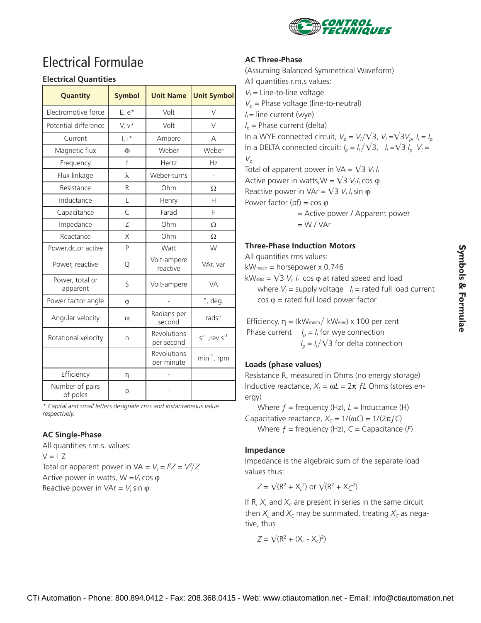

# Electrical Formulae

### **Electrical Quantities**

| Quantity                    | <b>Symbol</b>              | <b>Unit Name</b>          | <b>Unit Symbol</b>      |
|-----------------------------|----------------------------|---------------------------|-------------------------|
| Electromotive force         | $E, e*$                    | Volt                      | V                       |
| Potential difference        | V, v*                      | Volt                      | $\vee$                  |
| Current                     | $\mathsf{I}, \mathsf{i}^*$ | Ampere                    | А                       |
| Magnetic flux               | Ф                          | Weber                     | Weber                   |
| Frequency                   | $\mathsf{f}$               | Hertz                     | Hz                      |
| Flux linkage                | λ                          | Weber-turns               |                         |
| Resistance                  | R                          | Ohm                       | Ω                       |
| Inductance                  | L                          | Henry                     | Н                       |
| Capacitance                 | C                          | Farad                     | F                       |
| Impedance                   | Ζ                          | Ohm                       | Ω                       |
| Reactance                   | X                          | Ohm                       | Ω                       |
| Power, dc, or active        | P                          | Watt                      | W                       |
| Power, reactive             | Q                          | Volt-ampere<br>reactive   | VAr, var                |
| Power, total or<br>apparent | S                          | Volt-ampere               | <b>VA</b>               |
| Power factor angle          | $\varphi$                  |                           | °, deg.                 |
| Angular velocity            | $\omega$                   | Radians per<br>second     | rad $s-1$               |
| Rotational velocity         | n                          | Revolutions<br>per second | $s^{-1}$ , rev $s^{-1}$ |
|                             |                            | Revolutions<br>per minute | $min^{-1}$ , rpm        |
| Efficiency                  | η                          |                           |                         |
| Number of pairs<br>of poles | р                          |                           |                         |

*\* Capital and small letters designate rms and instantaneous value respectively.*

## **AC Single-Phase**

All quantities r.m.s. values:  $V = 17$ Total or apparent power in  $VA = V_1 = I^2Z = V^2/Z$ Active power in watts, W = V<sub>i</sub> cos φ Reactive power in VAr =  $V_i$  sin  $\varphi$ 

#### **AC Three-Phase**

(Assuming Balanced Symmetrical Waveform) All quantities r.m.s values:  $V_l$  = Line-to-line voltage  $V_p$  = Phase voltage (line-to-neutral)  $I_i$  = line current (wye)  $I_p$  = Phase current (delta) In a WYE connected circuit,  $V_\rho = V_\rho / \sqrt{3}$ ,  $V_\rho = \sqrt{3} V_\rho$ ,  $I_\rho = I_\rho$ In a DELTA connected circuit:  $I_p = I_l / \sqrt{3}$ ,  $I_l = \sqrt{3} I_p$ ,  $V_l =$  $V_p$ Total of apparent power in  $VA = \sqrt{3} V_I I_I$ Active power in watts,  $W = \sqrt{3} V_l l_l \cos \varphi$ Reactive power in VAr =  $\sqrt{3} V_l I_l \sin \varphi$ Power factor (pf) =  $\cos \varphi$ 

> = Active power / Apparent power  $= W / VAr$

#### **Three-Phase Induction Motors**

All quantities rms values:

kWmech = horsepower x 0.746

 $kW<sub>elec</sub> = \sqrt{3} V_l I_l \cos \varphi$  at rated speed and load where  $V_i$  = supply voltage  $I_i$  = rated full load current cos ϕ = rated full load power factor

Efficiency,  $\eta = (kW_{\text{mech}} / kW_{\text{elec}}) \times 100$  per cent Phase current  $I_p = I_l$  for wye connection  $I_p = I_l / \sqrt{3}$  for delta connection

## **Loads (phase values)**

Resistance R, measured in Ohms (no energy storage) Inductive reactance,  $X_l = ωL = 2π fL$  Ohms (stores energy)

Where  $f = \text{frequency (Hz)}$ ,  $L = \text{Inductance (H)}$ Capacitative reactance,  $X_c = 1/(\omega C) = 1/(2\pi f C)$ Where  $f = \text{frequency (Hz)}$ ,  $C = \text{Capacitance (F)}$ 

#### **Impedance**

Impedance is the algebraic sum of the separate load values thus:

 $Z = \sqrt{(R^2 + X_L^2)}$  or  $\sqrt{(R^2 + X_C^2)}$ 

If R,  $X_l$  and  $X_c$  are present in series in the same circuit then  $X_l$  and  $X_c$  may be summated, treating  $X_c$  as negative, thus

$$
Z=\sqrt{(R^2+(X_L-X_C)^2)}
$$